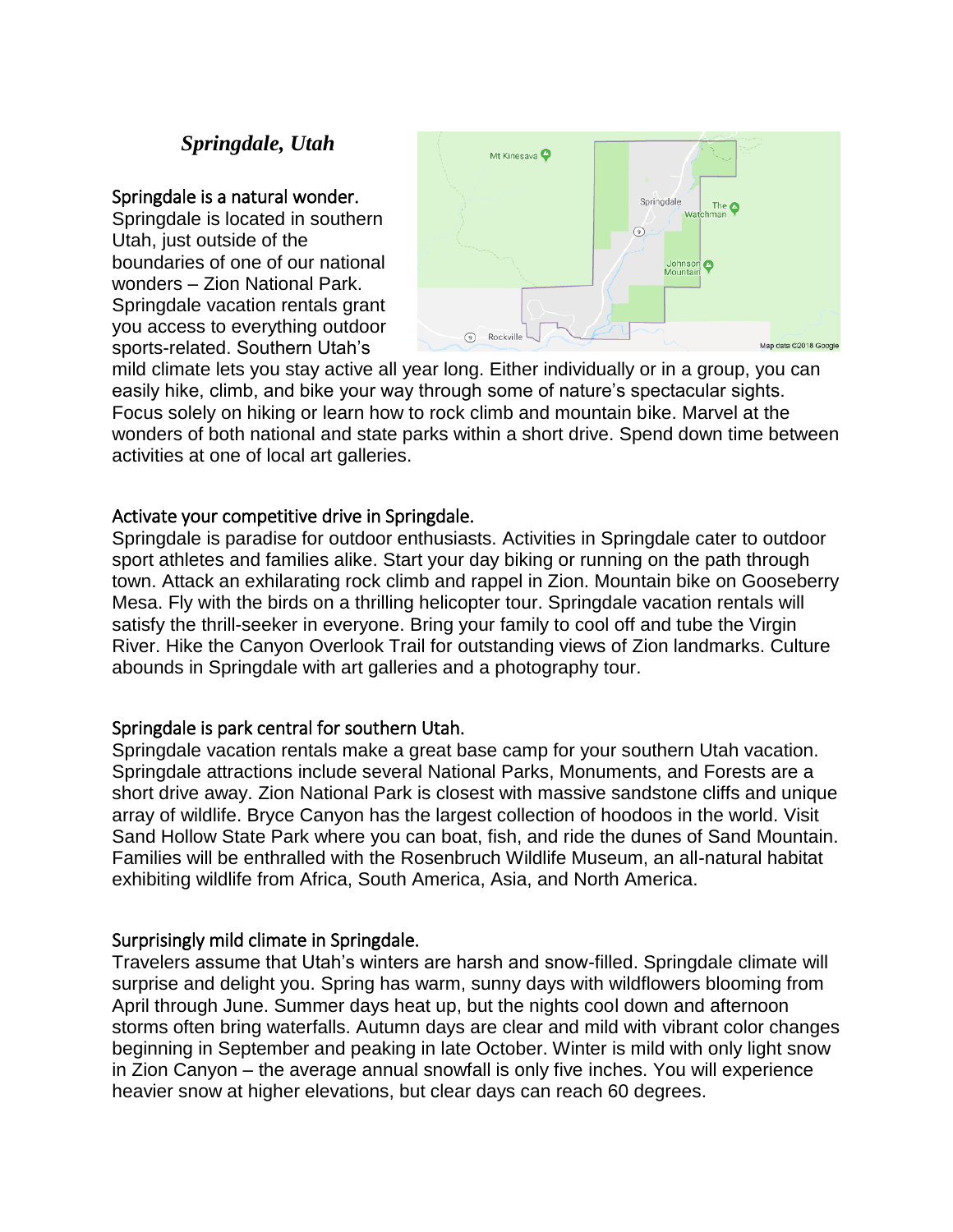# *Springdale, Utah*

### Springdale is a natural wonder.

Springdale is located in southern Utah, just outside of the boundaries of one of our national wonders – Zion National Park. Springdale vacation rentals grant you access to everything outdoor sports-related. Southern Utah's



mild climate lets you stay active all year long. Either individually or in a group, you can easily hike, climb, and bike your way through some of nature's spectacular sights. Focus solely on hiking or learn how to rock climb and mountain bike. Marvel at the wonders of both national and state parks within a short drive. Spend down time between activities at one of local art galleries.

## Activate your competitive drive in Springdale.

Springdale is paradise for outdoor enthusiasts. Activities in Springdale cater to outdoor sport athletes and families alike. Start your day biking or running on the path through town. Attack an exhilarating rock climb and rappel in Zion. Mountain bike on Gooseberry Mesa. Fly with the birds on a thrilling helicopter tour. Springdale vacation rentals will satisfy the thrill-seeker in everyone. Bring your family to cool off and tube the Virgin River. Hike the Canyon Overlook Trail for outstanding views of Zion landmarks. Culture abounds in Springdale with art galleries and a photography tour.

## Springdale is park central for southern Utah.

Springdale vacation rentals make a great base camp for your southern Utah vacation. Springdale attractions include several National Parks, Monuments, and Forests are a short drive away. Zion National Park is closest with massive sandstone cliffs and unique array of wildlife. Bryce Canyon has the largest collection of hoodoos in the world. Visit Sand Hollow State Park where you can boat, fish, and ride the dunes of Sand Mountain. Families will be enthralled with the Rosenbruch Wildlife Museum, an all-natural habitat exhibiting wildlife from Africa, South America, Asia, and North America.

## Surprisingly mild climate in Springdale.

Travelers assume that Utah's winters are harsh and snow-filled. Springdale climate will surprise and delight you. Spring has warm, sunny days with wildflowers blooming from April through June. Summer days heat up, but the nights cool down and afternoon storms often bring waterfalls. Autumn days are clear and mild with vibrant color changes beginning in September and peaking in late October. Winter is mild with only light snow in Zion Canyon – the average annual snowfall is only five inches. You will experience heavier snow at higher elevations, but clear days can reach 60 degrees.